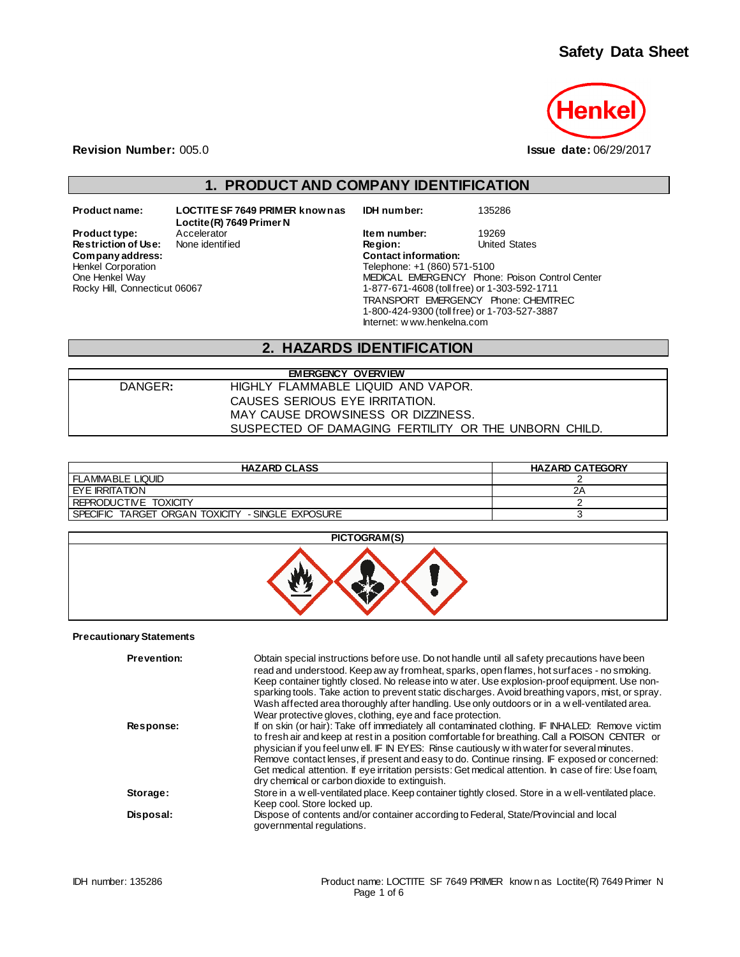

**Revision Number:** 005.0 **Issue date:** 06/29/2017

# **1. PRODUCT AND COMPANY IDENTIFICATION**

 $Company address:$ Henkel Corporation One Henkel Way Rocky Hill, Connecticut 06067

**Product name: LOCTITE SF 7649 PRIMER known as Loctite(R) 7649 Primer N Restriction of Use:** None identified **Region:** Region: Region: United States Contact information:

**IDH number:** 135286

**Product type:** Accelerator **Accelerator Item number:** 19269 **Restriction of Use:** None identified **In the Region:** United States Telephone: +1 (860) 571-5100 MEDICAL EMERGENCY Phone: Poison Control Center 1-877-671-4608 (toll free) or 1-303-592-1711 TRANSPORT EMERGENCY Phone: CHEMTREC 1-800-424-9300 (toll free) or 1-703-527-3887 Internet: w ww.henkelna.com

# **2. HAZARDS IDENTIFICATION**

| <b>EMERGENCY OVERVIEW</b> |                                                      |  |
|---------------------------|------------------------------------------------------|--|
| DANGER:                   | HIGHLY FLAMMABLE LIQUID AND VAPOR.                   |  |
|                           | CAUSES SERIOUS EYE IRRITATION.                       |  |
|                           | MAY CAUSE DROWSINESS OR DIZZINESS.                   |  |
|                           | SUSPECTED OF DAMAGING FERTILITY OR THE UNBORN CHILD. |  |

| <b>HAZARD CLASS</b>                               | <b>HAZARD CATEGORY</b> |
|---------------------------------------------------|------------------------|
| I FLAMMABLE LIQUID                                |                        |
| <b>LEYE IRRITATION</b>                            | 2Α                     |
| IREPRODUCTIVE TOXICITY                            |                        |
| ISPECIFIC TARGET ORGAN TOXICITY - SINGLE EXPOSURE |                        |



#### **Precautionary Statements**

| <b>Prevention:</b> | Obtain special instructions before use. Do not handle until all safety precautions have been<br>read and understood. Keep aw ay from heat, sparks, open flames, hot surfaces - no smoking.<br>Keep container tightly closed. No release into w ater. Use explosion-proof equipment. Use non-<br>sparking tools. Take action to prevent static discharges. Avoid breathing vapors, mist, or spray.<br>Wash affected area thoroughly after handling. Use only outdoors or in a well-ventilated area.<br>Wear protective gloves, clothing, eye and face protection. |
|--------------------|------------------------------------------------------------------------------------------------------------------------------------------------------------------------------------------------------------------------------------------------------------------------------------------------------------------------------------------------------------------------------------------------------------------------------------------------------------------------------------------------------------------------------------------------------------------|
| Response:          | If on skin (or hair): Take off immediately all contaminated clothing. IF INHALED: Remove victim<br>to fresh air and keep at rest in a position comfortable for breathing. Call a POISON CENTER or<br>physician if you feel unw ell. IF IN EYES: Rinse cautiously with water for several minutes.<br>Remove contact lenses, if present and easy to do. Continue rinsing. IF exposed or concerned:<br>Get medical attention. If eye irritation persists: Get medical attention. In case of fire: Use foam,<br>dry chemical or carbon dioxide to extinguish.        |
| Storage:           | Store in a w ell-ventilated place. Keep container tightly closed. Store in a w ell-ventilated place.<br>Keep cool. Store locked up.                                                                                                                                                                                                                                                                                                                                                                                                                              |
| Disposal:          | Dispose of contents and/or container according to Federal, State/Provincial and local<br>governmental regulations.                                                                                                                                                                                                                                                                                                                                                                                                                                               |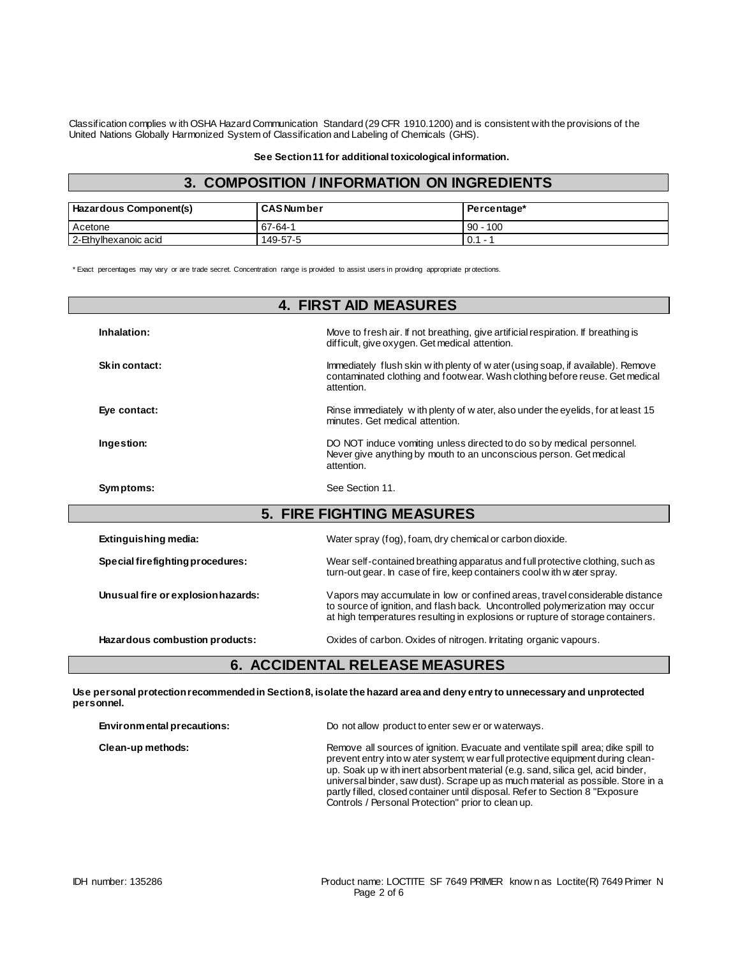Classification complies w ith OSHA Hazard Communication Standard (29 CFR 1910.1200) and is consistent with the provisions of the United Nations Globally Harmonized System of Classification and Labeling of Chemicals (GHS).

**See Section 11 for additional toxicological information.**

### **3. COMPOSITION / INFORMATION ON INGREDIENTS**

| <b>Hazardous Component(s)</b> | <b>CAS Number</b> | Percentage* |
|-------------------------------|-------------------|-------------|
| Acetone                       | $67-64-1$         | $90 - 100$  |
| 2-Ethylhexanoic acid          | 149-57-5          | $0.1 -$     |

\* Exact percentages may vary or are trade secret. Concentration range is provided to assist users in providing appropriate pr otections.

|                                    | <b>4. FIRST AID MEASURES</b>                                                                                                                                                                                                                   |
|------------------------------------|------------------------------------------------------------------------------------------------------------------------------------------------------------------------------------------------------------------------------------------------|
| Inhalation:                        | Move to fresh air. If not breathing, give artificial respiration. If breathing is<br>difficult, give oxygen. Get medical attention.                                                                                                            |
| Skin contact:                      | Immediately flush skin w ith plenty of w ater (using soap, if available). Remove<br>contaminated clothing and footwear. Wash clothing before reuse. Get medical<br>attention.                                                                  |
| Eye contact:                       | Rinse immediately with plenty of w ater, also under the eyelids, for at least 15<br>minutes. Get medical attention.                                                                                                                            |
| Ingestion:                         | DO NOT induce vomiting unless directed to do so by medical personnel.<br>Never give anything by mouth to an unconscious person. Get medical<br>attention.                                                                                      |
| Symptoms:                          | See Section 11.                                                                                                                                                                                                                                |
|                                    | <b>5. FIRE FIGHTING MEASURES</b>                                                                                                                                                                                                               |
| Extinguishing media:               | Water spray (fog), foam, dry chemical or carbon dioxide.                                                                                                                                                                                       |
| Special firefighting procedures:   | Wear self-contained breathing apparatus and full protective clothing, such as<br>turn-out gear. In case of fire, keep containers cool with water spray.                                                                                        |
| Unusual fire or explosion hazards: | Vapors may accumulate in low or confined areas, travel considerable distance<br>to source of ignition, and flash back. Uncontrolled polymerization may occur<br>at high temperatures resulting in explosions or rupture of storage containers. |
| Hazardous combustion products:     | Oxides of carbon. Oxides of nitrogen. Irritating organic vapours.                                                                                                                                                                              |

# **6. ACCIDENTAL RELEASE MEASURES**

**Use personal protection recommended in Section 8, isolate the hazard area and deny entry to unnecessary and unprotected personnel.**

| Environmental precautions: | Do not allow product to enter sew er or waterways.                                                                                                                                                                                                                                                                                                                                                                                                                               |
|----------------------------|----------------------------------------------------------------------------------------------------------------------------------------------------------------------------------------------------------------------------------------------------------------------------------------------------------------------------------------------------------------------------------------------------------------------------------------------------------------------------------|
| Clean-up methods:          | Remove all sources of ignition. Evacuate and ventilate spill area; dike spill to<br>prevent entry into w ater system; w ear full protective equipment during clean-<br>up. Soak up w ith inert absorbent material (e.g. sand, silica gel, acid binder,<br>universal binder, saw dust). Scrape up as much material as possible. Store in a<br>partly filled, closed container until disposal. Refer to Section 8 "Exposure"<br>Controls / Personal Protection" prior to clean up. |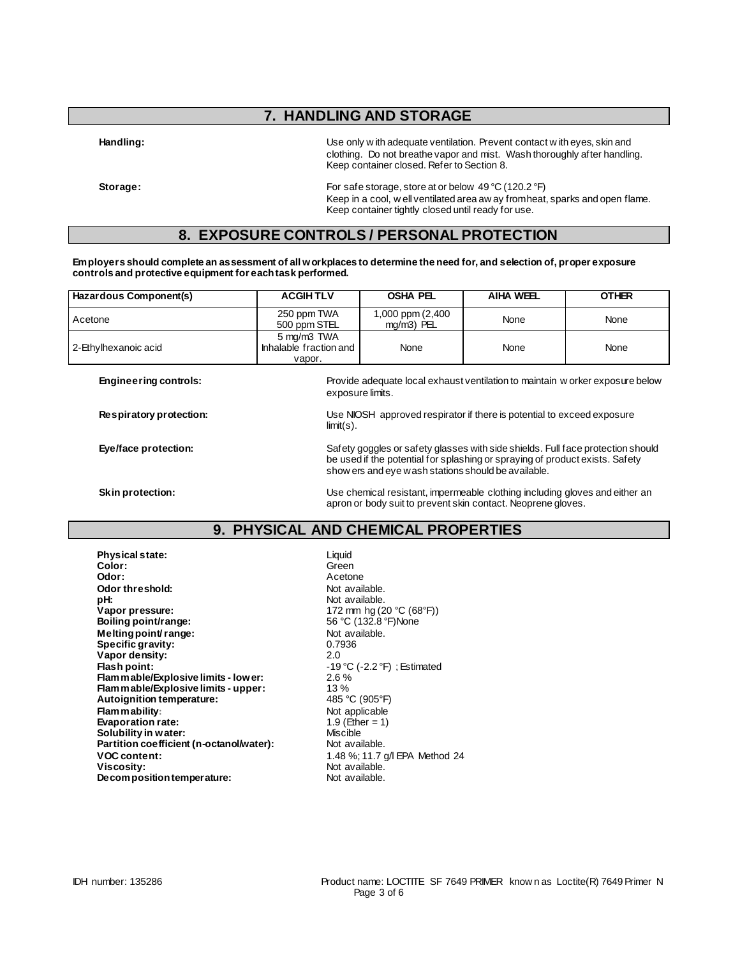# **7. HANDLING AND STORAGE**

**Handling:** Use only w ith adequate ventilation. Prevent contact w ith eyes, skin and clothing. Do not breathe vapor and mist. Wash thoroughly after handling. Keep container closed. Refer to Section 8.

**Storage:** For safe storage, store at or below 49 °C (120.2 °F) Keep in a cool, w ell ventilated area aw ay from heat, sparks and open flame. Keep container tightly closed until ready for use.

## **8. EXPOSURE CONTROLS / PERSONAL PROTECTION**

**Employers should complete an assessment of all workplaces to determine the need for, and selection of, proper exposure controls and protective equipment for each task performed.**

| Hazardous Component(s) | <b>ACGIHTLV</b>                                 | OSHA PEL                       | <b>AIHA WEEL</b> | <b>OTHER</b> |
|------------------------|-------------------------------------------------|--------------------------------|------------------|--------------|
| Acetone                | 250 ppm TWA<br>500 ppm STEL                     | 1,000 ppm (2,400<br>mg/m3) PEL | None             | None         |
| 2-Ethylhexanoic acid   | 5 mg/m3 TWA<br>Inhalable fraction and<br>vapor. | None                           | None             | None         |

**Engineering controls:** Provide adequate local exhaust ventilation to maintain w orker exposure below exposure limits.

**Respiratory protection:** Use NIOSH approved respirator if there is potential to exceed exposure limit(s).

Eye/face protection: **Safety goggles or safety glasses with side shields**. Full face protection should be used if the potential for splashing or spraying of product exists. Safety show ers and eye wash stations should be available.

**Skin protection:** Use chemical resistant, impermeable clothing including gloves and either an apron or body suit to prevent skin contact. Neoprene gloves.

## **9. PHYSICAL AND CHEMICAL PROPERTIES**

**Physical state:** Liquid **Color:** Green **Odor:** Acetone **Odor threshold:** Not available.<br> **pH:** Not available. **Vapor pressure:** 172 mm hg (20 °C (68°F)) **Boiling point/range:** 56 °C (132.8 °F)None **Melting point/ range:** Not available.<br> **Specific gravity:** 0.7936 **Specific gravity:** 0.7936<br> **Vapor density:** 2.0 **Vapor density:** 2.0 **Flash point: Figure 19 °C** (-2.2 °F) ; Estimated **Flam mable/Explosive limits - lower:** 2.6 % **Flammable/Explosive limits - lower:** 2.6 % **Flammable/Explosive limits - upper:** 13 %<br> **Autoignition temperature:** 485 °C (905 °F) **Autoignition temperature: Flammability:**<br> **Evaporation rate:**<br> **Evaporation rate:**<br> **Example 1.9** (Ether = 1) **Evaporation rate: Solubility in water: Solubility in water:** Miscible<br> **Partition coefficient (n-octanol/water):** Not available. Partition coefficient (n-octanol/water): **VOC content:** 1.48 %; 11.7 g/l EPA Method 24<br> **Viscosity:** Not available. **Decomposition temperature:** Not available.

Not available. Not available.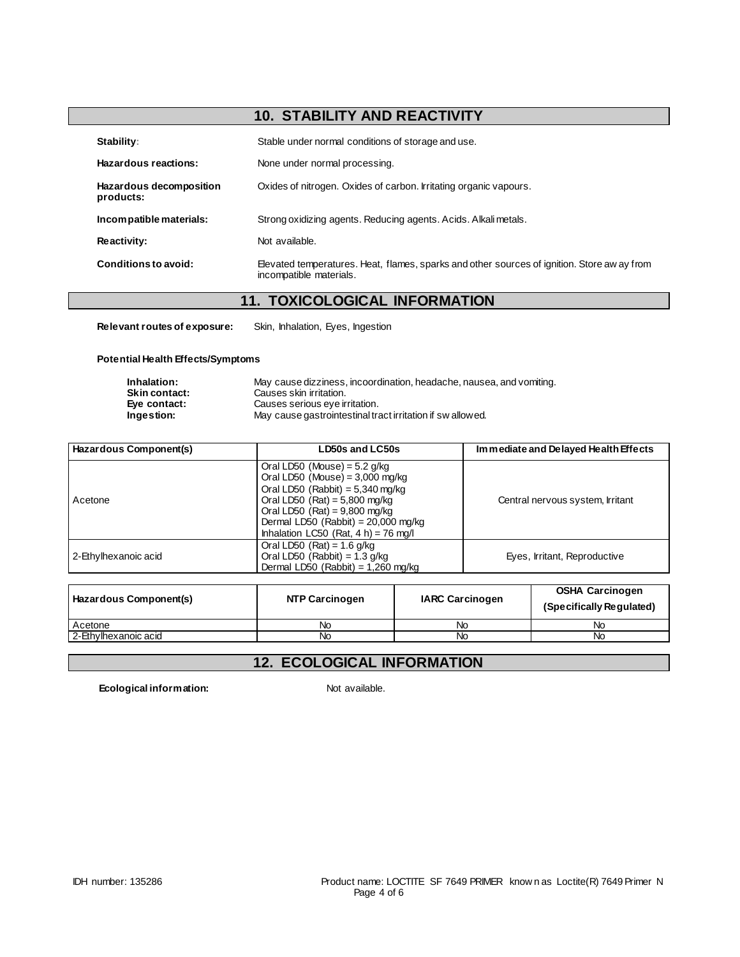# **10. STABILITY AND REACTIVITY**

| Stability:                           | Stable under normal conditions of storage and use.                                                                     |
|--------------------------------------|------------------------------------------------------------------------------------------------------------------------|
| Hazardous reactions:                 | None under normal processing.                                                                                          |
| Hazardous decomposition<br>products: | Oxides of nitrogen. Oxides of carbon. Irritating organic vapours.                                                      |
| Incompatible materials:              | Strong oxidizing agents. Reducing agents. Acids. Alkali metals.                                                        |
| <b>Reactivity:</b>                   | Not available.                                                                                                         |
| Conditions to avoid:                 | Elevated temperatures. Heat, flames, sparks and other sources of ignition. Store aw ay from<br>incompatible materials. |

# **11. TOXICOLOGICAL INFORMATION**

**Relevant routes of exposure:** Skin, Inhalation, Eyes, Ingestion

**Potential Health Effects/Symptoms**

| Inhalation:          | May cause dizziness, incoordination, headache, nausea, and vomiting. |
|----------------------|----------------------------------------------------------------------|
| <b>Skin contact:</b> | Causes skin irritation.                                              |
| Eve contact:         | Causes serious eye irritation.                                       |
| Ingestion:           | May cause gastrointestinal tract irritation if swallowed.            |

| Hazardous Component(s) | LD50s and LC50s                                                                                                                                                                                                                                                     | Immediate and Delayed Health Effects |
|------------------------|---------------------------------------------------------------------------------------------------------------------------------------------------------------------------------------------------------------------------------------------------------------------|--------------------------------------|
| Acetone                | Oral LD50 (Mouse) = $5.2$ g/kg<br>Oral LD50 (Mouse) = $3,000$ mg/kg<br>Oral LD50 (Rabbit) = $5,340$ mg/kg<br>Oral LD50 $(Rat) = 5,800$ mg/kg<br>Oral LD50 $(Rat) = 9,800$ mg/kg<br>Dermal LD50 (Rabbit) = $20,000$ mg/kg<br>Inhalation LC50 (Rat, $4 h$ ) = 76 mg/l | Central nervous system, Irritant     |
| 2-Ethylhexanoic acid   | Oral LD50 $(Rat) = 1.6$ g/kg<br>Oral LD50 (Rabbit) = $1.3$ g/kg<br>Dermal LD50 (Rabbit) = $1,260$ mg/kg                                                                                                                                                             | Eyes, Irritant, Reproductive         |

| Hazardous Component(s) | NTP Carcinogen | <b>IARC Carcinogen</b> | <b>OSHA Carcinogen</b><br>(Specifically Regulated) |
|------------------------|----------------|------------------------|----------------------------------------------------|
| Acetone                | No             | No                     | Na                                                 |
| 2-Ethylhexanoic acid   | No             | No                     | Νo                                                 |

# **12. ECOLOGICAL INFORMATION**

**Ecological information:** Not available.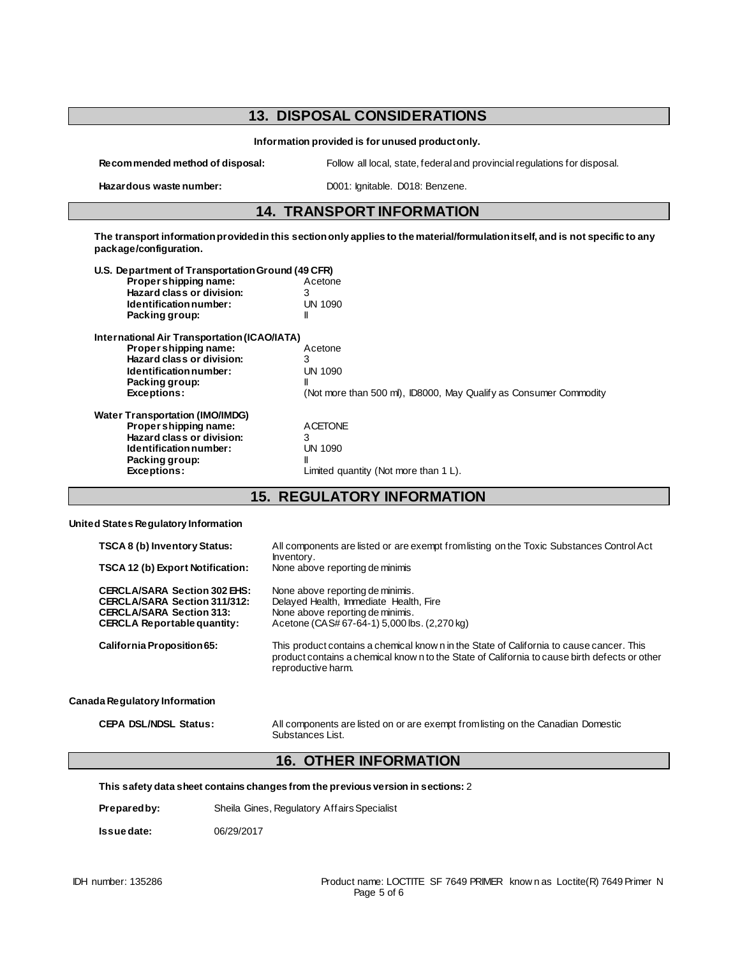### **13. DISPOSAL CONSIDERATIONS Information provided is for unused product only. Recommended method of disposal:** Follow all local, state, federal and provincial regulations for disposal. Hazardous waste number: D001: Ignitable. D018: Benzene. **14. TRANSPORT INFORMATION The transport information provided in this section only applies to the material/formulation itself, and is not specific to any package/configuration. U.S. Department of Transportation Ground (49 CFR) Proper shipping name: Hazard class or division:** 3<br> **Identification number:** UN 1090 **Identification number: Packing group:** II **International Air Transportation (ICAO/IATA) Proper shipping name:** Acetone **Hazard class or division:** 3<br> **Identification number:** UN 1090 **Identification number: Packing group:**<br>Exceptions: **Exceptions:** (Not more than 500 ml), ID8000, May Qualify as Consumer Commodity **Water Transportation (IMO/IMDG) Proper shipping name:** ACETONE<br> **Hazard class or division:** 3 **Hazard class or division:** 3<br> **Identification number:** UN 1090 **Identification number: Packing group:** II<br>Exceptions: L Limited quantity (Not more than 1 L).

## **15. REGULATORY INFORMATION**

### **United States Regulatory Information**

| <b>TSCA 8 (b) Inventory Status:</b><br><b>TSCA 12 (b) Export Notification:</b>                                                                      | All components are listed or are exempt from listing on the Toxic Substances Control Act<br>Inventory.<br>None above reporting de minimis                                                                       |
|-----------------------------------------------------------------------------------------------------------------------------------------------------|-----------------------------------------------------------------------------------------------------------------------------------------------------------------------------------------------------------------|
| <b>CERCLA/SARA Section 302 EHS:</b><br><b>CERCLA/SARA Section 311/312:</b><br><b>CERCLA/SARA Section 313:</b><br><b>CERCLA Reportable quantity:</b> | None above reporting de minimis.<br>Delayed Health, Immediate Health, Fire<br>None above reporting de minimis.<br>Acetone (CAS#67-64-1) 5,000 lbs. (2,270 kg)                                                   |
| California Proposition 65:                                                                                                                          | This product contains a chemical know n in the State of California to cause cancer. This<br>product contains a chemical know n to the State of California to cause birth defects or other<br>reproductive harm. |
| Canada Regulatory Information                                                                                                                       |                                                                                                                                                                                                                 |
| <b>CEPA DSL/NDSL Status:</b>                                                                                                                        | All components are listed on or are exempt from listing on the Canadian Domestic<br>Substances List.                                                                                                            |

# **16. OTHER INFORMATION**

**This safety data sheet contains changes from the previous version in sections:** 2

**Prepared by:** Sheila Gines, Regulatory Affairs Specialist

**Issue date:** 06/29/2017